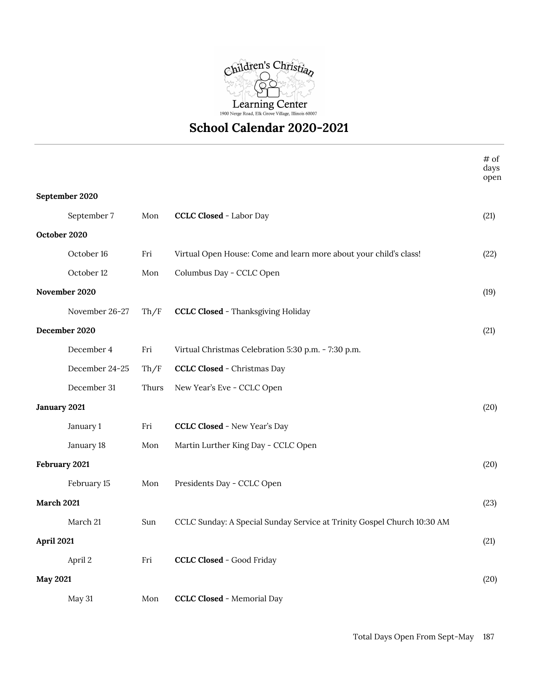

## **School Calendar 2020-2021**

|                   |                |       |                                                                         | # of<br>days<br>open |  |
|-------------------|----------------|-------|-------------------------------------------------------------------------|----------------------|--|
|                   | September 2020 |       |                                                                         |                      |  |
|                   | September 7    | Mon   | <b>CCLC Closed - Labor Day</b>                                          | (21)                 |  |
| October 2020      |                |       |                                                                         |                      |  |
|                   | October 16     | Fri   | Virtual Open House: Come and learn more about your child's class!       | (22)                 |  |
|                   | October 12     | Mon   | Columbus Day - CCLC Open                                                |                      |  |
|                   | November 2020  |       |                                                                         | (19)                 |  |
|                   | November 26-27 | Th/F  | <b>CCLC Closed - Thanksgiving Holiday</b>                               |                      |  |
| December 2020     |                |       |                                                                         | (21)                 |  |
|                   | December 4     | Fri   | Virtual Christmas Celebration 5:30 p.m. - 7:30 p.m.                     |                      |  |
|                   | December 24-25 | Th/F  | <b>CCLC Closed - Christmas Day</b>                                      |                      |  |
|                   | December 31    | Thurs | New Year's Eve - CCLC Open                                              |                      |  |
| January 2021      |                |       |                                                                         | (20)                 |  |
|                   | January 1      | Fri   | <b>CCLC Closed - New Year's Day</b>                                     |                      |  |
|                   | January 18     | Mon   | Martin Lurther King Day - CCLC Open                                     |                      |  |
| February 2021     |                |       |                                                                         | (20)                 |  |
|                   | February 15    | Mon   | Presidents Day - CCLC Open                                              |                      |  |
| <b>March 2021</b> |                |       |                                                                         |                      |  |
|                   | March 21       | Sun   | CCLC Sunday: A Special Sunday Service at Trinity Gospel Church 10:30 AM |                      |  |
| April 2021        |                |       |                                                                         | (21)                 |  |
|                   | April 2        | Fri   | <b>CCLC Closed - Good Friday</b>                                        |                      |  |
| <b>May 2021</b>   |                |       |                                                                         |                      |  |
|                   | May 31         | Mon   | <b>CCLC Closed - Memorial Day</b>                                       |                      |  |